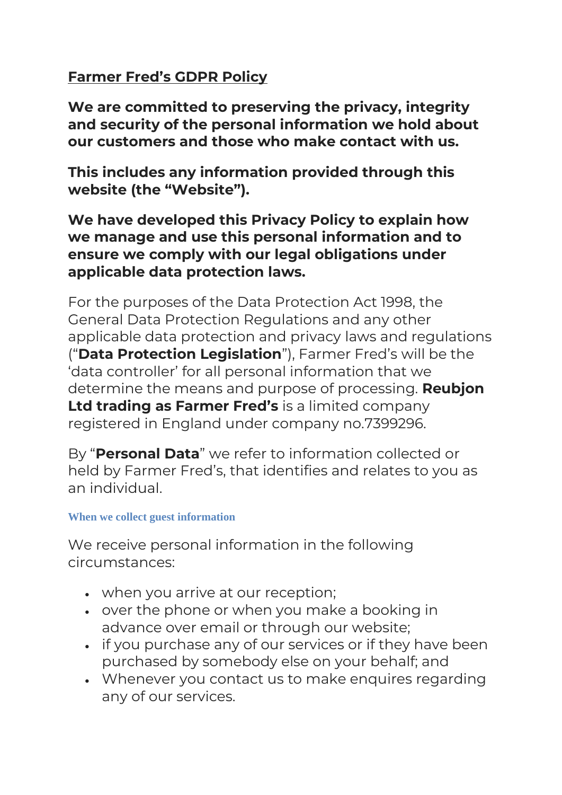# **Farmer Fred's GDPR Policy**

**We are committed to preserving the privacy, integrity and security of the personal information we hold about our customers and those who make contact with us.**

**This includes any information provided through this website (the "Website").**

**We have developed this Privacy Policy to explain how we manage and use this personal information and to ensure we comply with our legal obligations under applicable data protection laws.**

For the purposes of the Data Protection Act 1998, the General Data Protection Regulations and any other applicable data protection and privacy laws and regulations ("**Data Protection Legislation**"), Farmer Fred's will be the 'data controller' for all personal information that we determine the means and purpose of processing. **Reubjon Ltd trading as Farmer Fred's** is a limited company registered in England under company no.7399296.

By "**Personal Data**" we refer to information collected or held by Farmer Fred's, that identifies and relates to you as an individual.

## **When we collect guest information**

We receive personal information in the following circumstances:

- when you arrive at our reception;
- over the phone or when you make a booking in advance over email or through our website;
- if you purchase any of our services or if they have been purchased by somebody else on your behalf; and
- Whenever you contact us to make enquires regarding any of our services.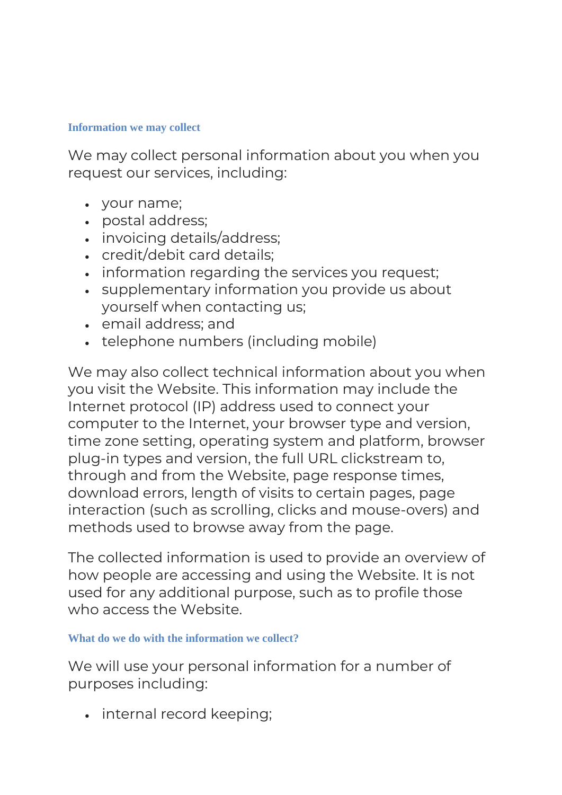#### **Information we may collect**

We may collect personal information about you when you request our services, including:

- your name;
- postal address;
- invoicing details/address;
- credit/debit card details;
- information regarding the services you request;
- supplementary information you provide us about yourself when contacting us;
- email address; and
- telephone numbers (including mobile)

We may also collect technical information about you when you visit the Website. This information may include the Internet protocol (IP) address used to connect your computer to the Internet, your browser type and version, time zone setting, operating system and platform, browser plug-in types and version, the full URL clickstream to, through and from the Website, page response times, download errors, length of visits to certain pages, page interaction (such as scrolling, clicks and mouse-overs) and methods used to browse away from the page.

The collected information is used to provide an overview of how people are accessing and using the Website. It is not used for any additional purpose, such as to profile those who access the Website.

### **What do we do with the information we collect?**

We will use your personal information for a number of purposes including:

• internal record keeping;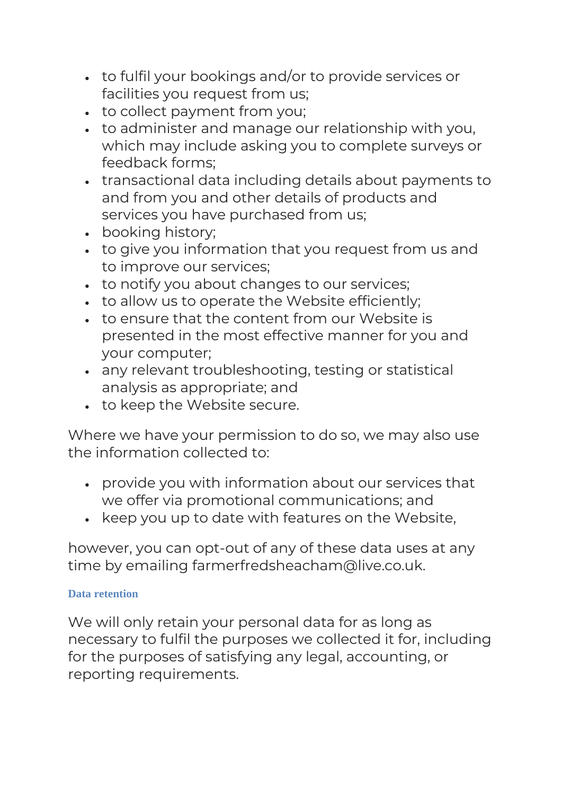- to fulfil your bookings and/or to provide services or facilities you request from us;
- to collect payment from you;
- to administer and manage our relationship with you, which may include asking you to complete surveys or feedback forms;
- transactional data including details about payments to and from you and other details of products and services you have purchased from us;
- booking history;
- to give you information that you request from us and to improve our services;
- to notify you about changes to our services;
- to allow us to operate the Website efficiently;
- to ensure that the content from our Website is presented in the most effective manner for you and your computer;
- any relevant troubleshooting, testing or statistical analysis as appropriate; and
- to keep the Website secure.

Where we have your permission to do so, we may also use the information collected to:

- provide you with information about our services that we offer via promotional communications; and
- keep you up to date with features on the Website,

however, you can opt-out of any of these data uses at any time by emailing farmerfredsheacham@live.co.uk.

## **Data retention**

We will only retain your personal data for as long as necessary to fulfil the purposes we collected it for, including for the purposes of satisfying any legal, accounting, or reporting requirements.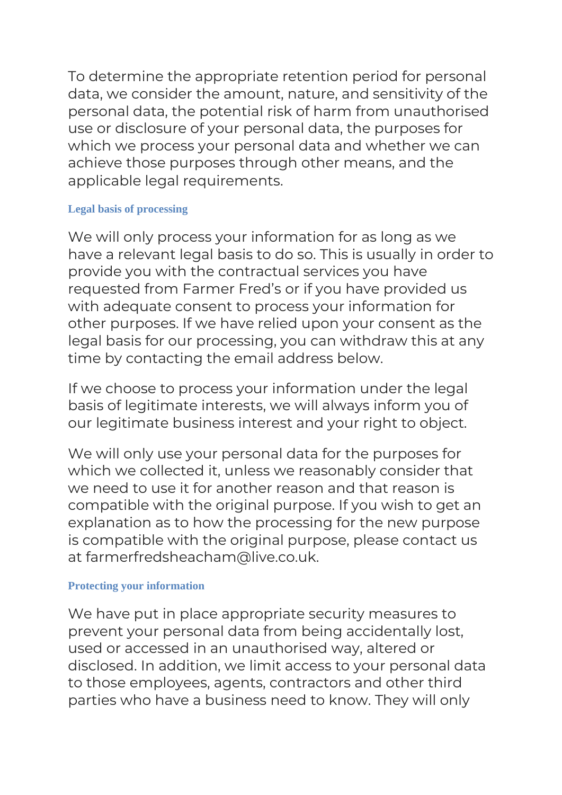To determine the appropriate retention period for personal data, we consider the amount, nature, and sensitivity of the personal data, the potential risk of harm from unauthorised use or disclosure of your personal data, the purposes for which we process your personal data and whether we can achieve those purposes through other means, and the applicable legal requirements.

### **Legal basis of processing**

We will only process your information for as long as we have a relevant legal basis to do so. This is usually in order to provide you with the contractual services you have requested from Farmer Fred's or if you have provided us with adequate consent to process your information for other purposes. If we have relied upon your consent as the legal basis for our processing, you can withdraw this at any time by contacting the email address below.

If we choose to process your information under the legal basis of legitimate interests, we will always inform you of our legitimate business interest and your right to object.

We will only use your personal data for the purposes for which we collected it, unless we reasonably consider that we need to use it for another reason and that reason is compatible with the original purpose. If you wish to get an explanation as to how the processing for the new purpose is compatible with the original purpose, please contact us at farmerfredsheacham@live.co.uk.

## **Protecting your information**

We have put in place appropriate security measures to prevent your personal data from being accidentally lost, used or accessed in an unauthorised way, altered or disclosed. In addition, we limit access to your personal data to those employees, agents, contractors and other third parties who have a business need to know. They will only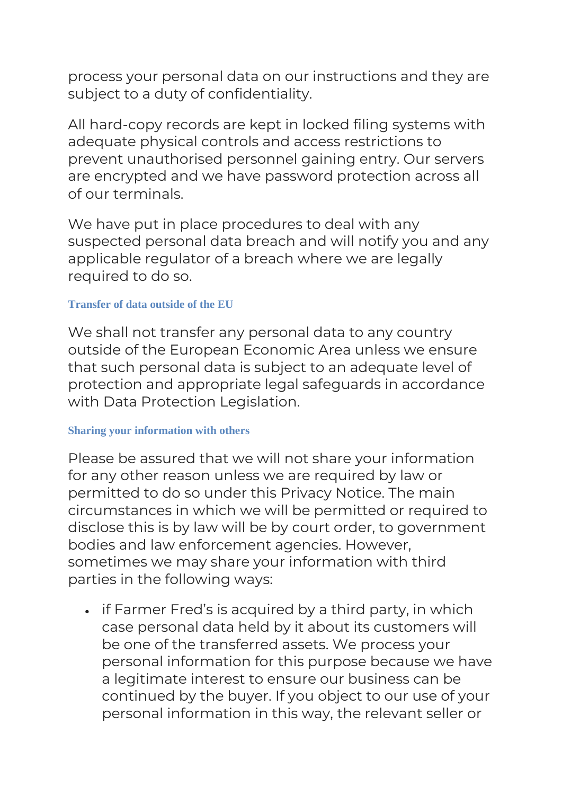process your personal data on our instructions and they are subject to a duty of confidentiality.

All hard-copy records are kept in locked filing systems with adequate physical controls and access restrictions to prevent unauthorised personnel gaining entry. Our servers are encrypted and we have password protection across all of our terminals.

We have put in place procedures to deal with any suspected personal data breach and will notify you and any applicable regulator of a breach where we are legally required to do so.

### **Transfer of data outside of the EU**

We shall not transfer any personal data to any country outside of the European Economic Area unless we ensure that such personal data is subject to an adequate level of protection and appropriate legal safeguards in accordance with Data Protection Legislation.

## **Sharing your information with others**

Please be assured that we will not share your information for any other reason unless we are required by law or permitted to do so under this Privacy Notice. The main circumstances in which we will be permitted or required to disclose this is by law will be by court order, to government bodies and law enforcement agencies. However, sometimes we may share your information with third parties in the following ways:

• if Farmer Fred's is acquired by a third party, in which case personal data held by it about its customers will be one of the transferred assets. We process your personal information for this purpose because we have a legitimate interest to ensure our business can be continued by the buyer. If you object to our use of your personal information in this way, the relevant seller or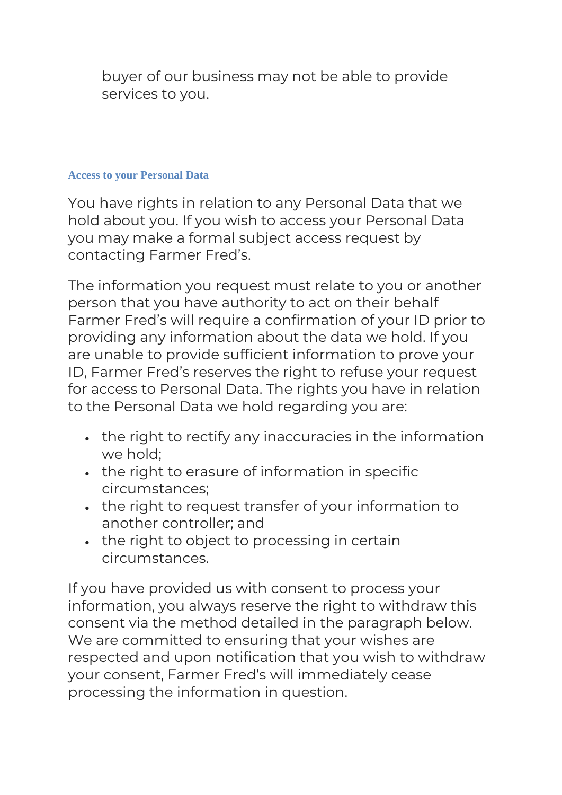buyer of our business may not be able to provide services to you.

### **Access to your Personal Data**

You have rights in relation to any Personal Data that we hold about you. If you wish to access your Personal Data you may make a formal subject access request by contacting Farmer Fred's.

The information you request must relate to you or another person that you have authority to act on their behalf Farmer Fred's will require a confirmation of your ID prior to providing any information about the data we hold. If you are unable to provide sufficient information to prove your ID, Farmer Fred's reserves the right to refuse your request for access to Personal Data. The rights you have in relation to the Personal Data we hold regarding you are:

- the right to rectify any inaccuracies in the information we hold;
- the right to erasure of information in specific circumstances;
- the right to request transfer of your information to another controller; and
- the right to object to processing in certain circumstances.

If you have provided us with consent to process your information, you always reserve the right to withdraw this consent via the method detailed in the paragraph below. We are committed to ensuring that your wishes are respected and upon notification that you wish to withdraw your consent, Farmer Fred's will immediately cease processing the information in question.